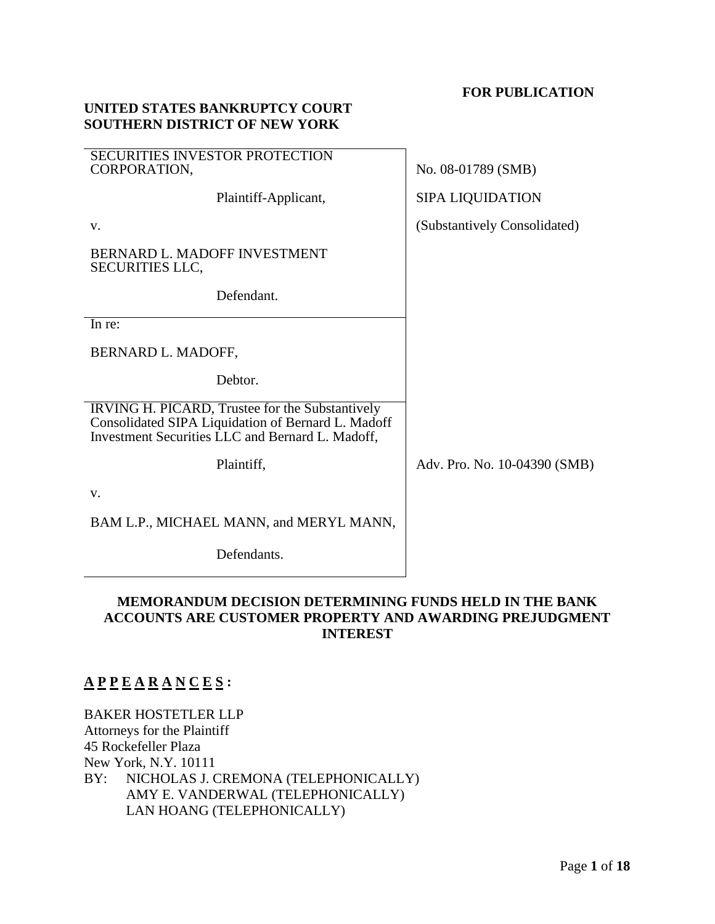### **FOR PUBLICATION**

| <b>SOUTHERN DISTRICT OF NEW YORK</b>                                                                                                                      |                              |
|-----------------------------------------------------------------------------------------------------------------------------------------------------------|------------------------------|
| <b>SECURITIES INVESTOR PROTECTION</b><br>CORPORATION,                                                                                                     | No. 08-01789 (SMB)           |
| Plaintiff-Applicant,                                                                                                                                      | <b>SIPA LIQUIDATION</b>      |
| V.                                                                                                                                                        | (Substantively Consolidated) |
| BERNARD L. MADOFF INVESTMENT<br><b>SECURITIES LLC,</b>                                                                                                    |                              |
| Defendant.                                                                                                                                                |                              |
| In re:                                                                                                                                                    |                              |
| BERNARD L. MADOFF,                                                                                                                                        |                              |
| Debtor.                                                                                                                                                   |                              |
| IRVING H. PICARD, Trustee for the Substantively<br>Consolidated SIPA Liquidation of Bernard L. Madoff<br>Investment Securities LLC and Bernard L. Madoff, |                              |
| Plaintiff,                                                                                                                                                | Adv. Pro. No. 10-04390 (SMB) |
| V.                                                                                                                                                        |                              |
| BAM L.P., MICHAEL MANN, and MERYL MANN,                                                                                                                   |                              |
| Defendants.                                                                                                                                               |                              |

# **MEMORANDUM DECISION DETERMINING FUNDS HELD IN THE BANK ACCOUNTS ARE CUSTOMER PROPERTY AND AWARDING PREJUDGMENT INTEREST**

# **A P P E A R A N C E S :**

BAKER HOSTETLER LLP Attorneys for the Plaintiff 45 Rockefeller Plaza New York, N.Y. 10111 BY: NICHOLAS J. CREMONA (TELEPHONICALLY) AMY E. VANDERWAL (TELEPHONICALLY) LAN HOANG (TELEPHONICALLY)

**UNITED STATES BANKRUPTCY COURT**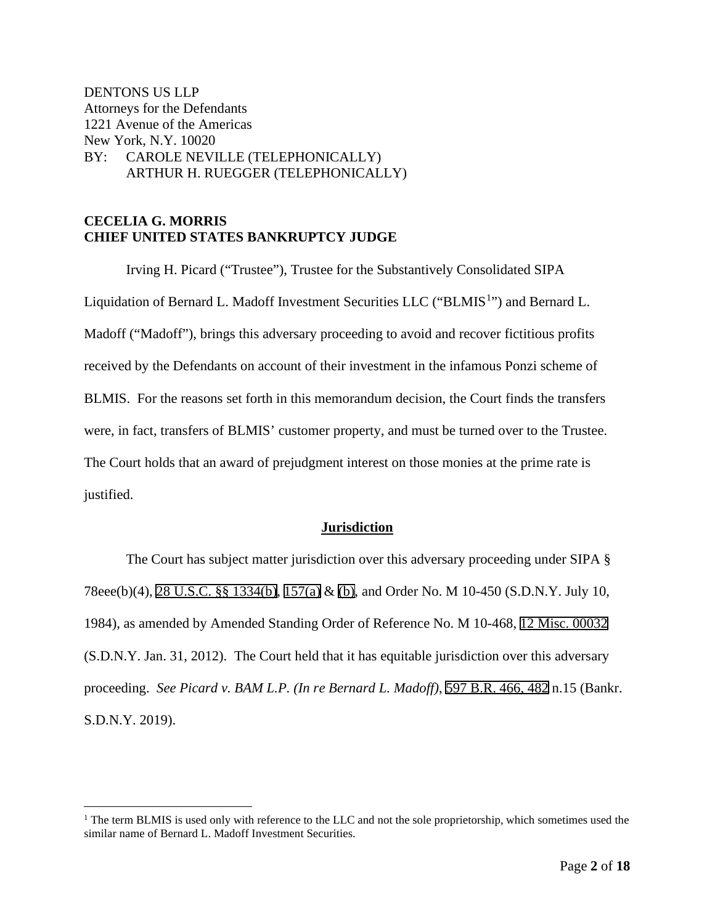DENTONS US LLP Attorneys for the Defendants 1221 Avenue of the Americas New York, N.Y. 10020 BY: CAROLE NEVILLE (TELEPHONICALLY) ARTHUR H. RUEGGER (TELEPHONICALLY)

# **CECELIA G. MORRIS CHIEF UNITED STATES BANKRUPTCY JUDGE**

Irving H. Picard ("Trustee"), Trustee for the Substantively Consolidated SIPA Liquidation of Bernard L. Madoff Investment Securities LLC ("BLMIS<sup>[1](#page-1-0)</sup>") and Bernard L. Madoff ("Madoff"), brings this adversary proceeding to avoid and recover fictitious profits received by the Defendants on account of their investment in the infamous Ponzi scheme of BLMIS. For the reasons set forth in this memorandum decision, the Court finds the transfers were, in fact, transfers of BLMIS' customer property, and must be turned over to the Trustee. The Court holds that an award of prejudgment interest on those monies at the prime rate is justified.

### **Jurisdiction**

The Court has subject matter jurisdiction over this adversary proceeding under SIPA § 78eee(b)(4), 28 U.S.C. §§ 1334(b), 157(a) & (b), and Order No. M 10-450 (S.D.N.Y. July 10, 1984), as amended by Amended Standing Order of Reference No. M 10-468, 12 Misc. 00032 (S.D.N.Y. Jan. 31, 2012). The Court held that it has equitable jurisdiction over this adversary proceeding. *See Picard v. BAM L.P. (In re Bernard L. Madoff)*, 597 B.R. 466, 482 n.15 (Bankr. S.D.N.Y. 2019).

<span id="page-1-0"></span><sup>&</sup>lt;sup>1</sup> The term BLMIS is used only with reference to the LLC and not the sole proprietorship, which sometimes used the similar name of Bernard L. Madoff Investment Securities.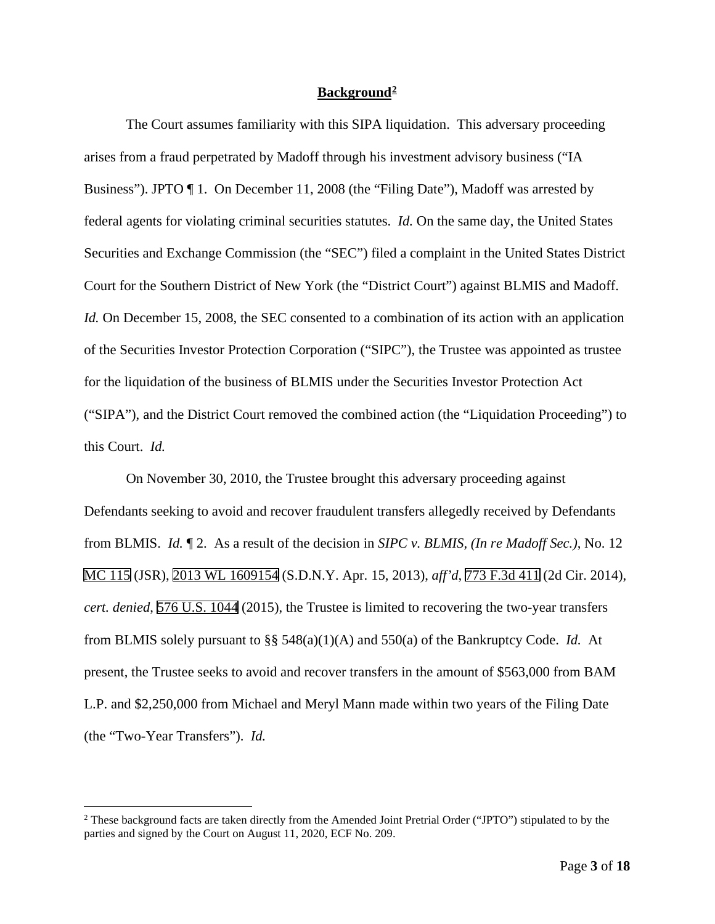### **Background[2](#page-2-0)**

The Court assumes familiarity with this SIPA liquidation. This adversary proceeding arises from a fraud perpetrated by Madoff through his investment advisory business ("IA Business"). JPTO ¶ 1. On December 11, 2008 (the "Filing Date"), Madoff was arrested by federal agents for violating criminal securities statutes. *Id.* On the same day, the United States Securities and Exchange Commission (the "SEC") filed a complaint in the United States District Court for the Southern District of New York (the "District Court") against BLMIS and Madoff. *Id.* On December 15, 2008, the SEC consented to a combination of its action with an application of the Securities Investor Protection Corporation ("SIPC"), the Trustee was appointed as trustee for the liquidation of the business of BLMIS under the Securities Investor Protection Act ("SIPA"), and the District Court removed the combined action (the "Liquidation Proceeding") to this Court. *Id.* 

On November 30, 2010, the Trustee brought this adversary proceeding against Defendants seeking to avoid and recover fraudulent transfers allegedly received by Defendants from BLMIS. *Id.* ¶ 2. As a result of the decision in *SIPC v. BLMIS, (In re Madoff Sec.)*, No. 12 MC 115 (JSR), 2013 WL 1609154 (S.D.N.Y. Apr. 15, 2013), *aff'd*, 773 F.3d 411 (2d Cir. 2014), *cert. denied*, 576 U.S. 1044 (2015), the Trustee is limited to recovering the two-year transfers from BLMIS solely pursuant to §§ 548(a)(1)(A) and 550(a) of the Bankruptcy Code. *Id.* At present, the Trustee seeks to avoid and recover transfers in the amount of \$563,000 from BAM L.P. and \$2,250,000 from Michael and Meryl Mann made within two years of the Filing Date (the "Two-Year Transfers"). *Id.*

<span id="page-2-0"></span><sup>2</sup> These background facts are taken directly from the Amended Joint Pretrial Order ("JPTO") stipulated to by the parties and signed by the Court on August 11, 2020, ECF No. 209.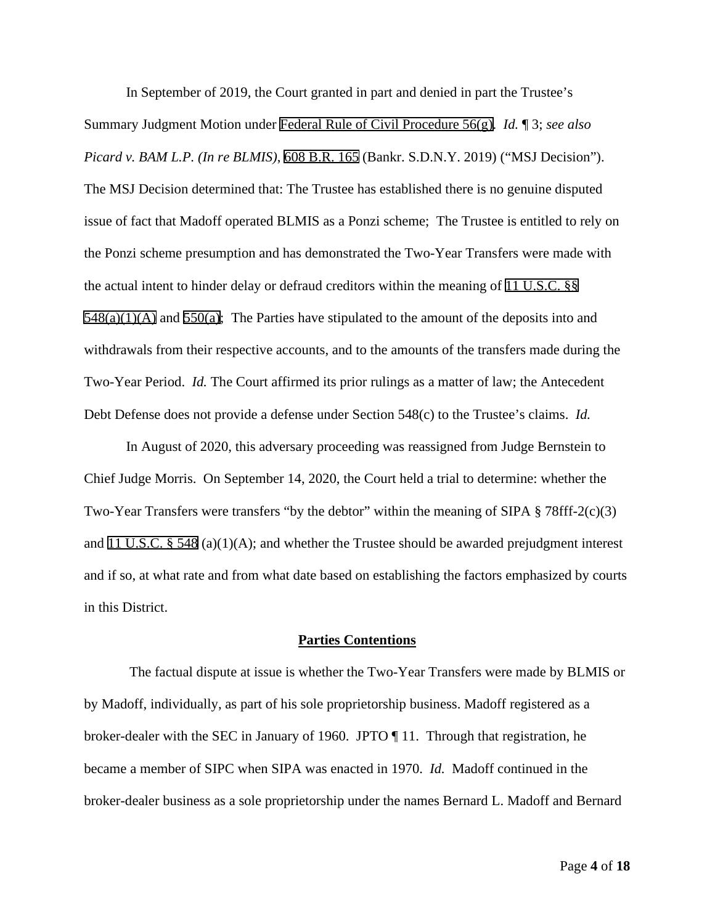In September of 2019, the Court granted in part and denied in part the Trustee's Summary Judgment Motion under Federal Rule of Civil Procedure 56(g). *Id.* ¶ 3; *see also Picard v. BAM L.P. (In re BLMIS)*, 608 B.R. 165 (Bankr. S.D.N.Y. 2019) ("MSJ Decision"). The MSJ Decision determined that: The Trustee has established there is no genuine disputed issue of fact that Madoff operated BLMIS as a Ponzi scheme; The Trustee is entitled to rely on the Ponzi scheme presumption and has demonstrated the Two-Year Transfers were made with the actual intent to hinder delay or defraud creditors within the meaning of 11 U.S.C. §§  $548(a)(1)(A)$  and  $550(a)$ ; The Parties have stipulated to the amount of the deposits into and withdrawals from their respective accounts, and to the amounts of the transfers made during the Two-Year Period. *Id.* The Court affirmed its prior rulings as a matter of law; the Antecedent Debt Defense does not provide a defense under Section 548(c) to the Trustee's claims. *Id.*

In August of 2020, this adversary proceeding was reassigned from Judge Bernstein to Chief Judge Morris. On September 14, 2020, the Court held a trial to determine: whether the Two-Year Transfers were transfers "by the debtor" within the meaning of SIPA § 78fff-2(c)(3) and 11 U.S.C. § 548 (a)(1)(A); and whether the Trustee should be awarded prejudgment interest and if so, at what rate and from what date based on establishing the factors emphasized by courts in this District.

#### **Parties Contentions**

The factual dispute at issue is whether the Two-Year Transfers were made by BLMIS or by Madoff, individually, as part of his sole proprietorship business. Madoff registered as a broker-dealer with the SEC in January of 1960. JPTO ¶ 11. Through that registration, he became a member of SIPC when SIPA was enacted in 1970. *Id.* Madoff continued in the broker-dealer business as a sole proprietorship under the names Bernard L. Madoff and Bernard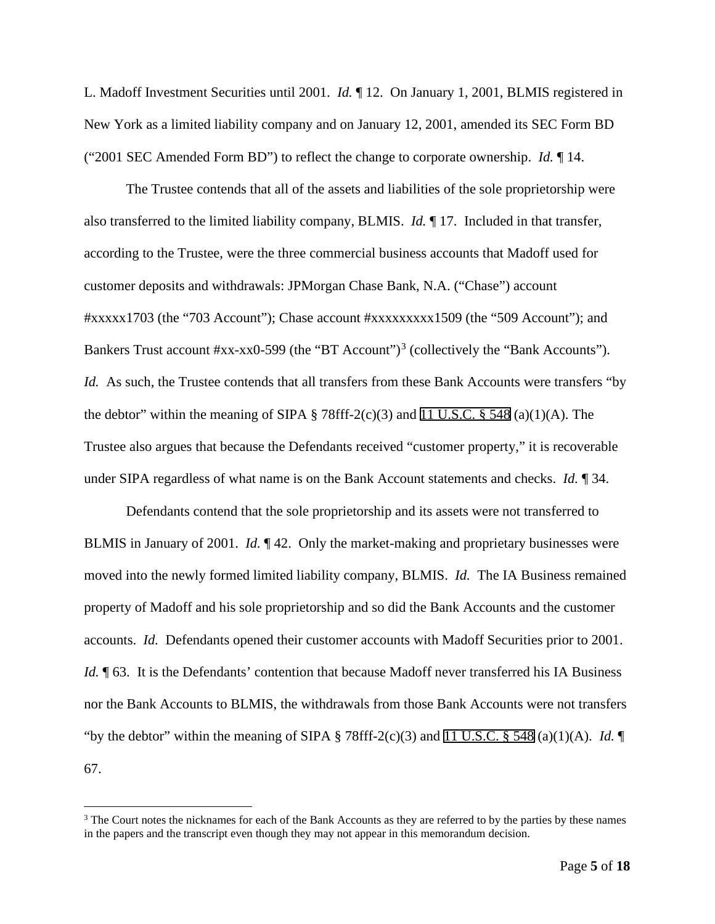L. Madoff Investment Securities until 2001. *Id.* ¶ 12. On January 1, 2001, BLMIS registered in New York as a limited liability company and on January 12, 2001, amended its SEC Form BD ("2001 SEC Amended Form BD") to reflect the change to corporate ownership. *Id.* ¶ 14.

The Trustee contends that all of the assets and liabilities of the sole proprietorship were also transferred to the limited liability company, BLMIS. *Id.* ¶ 17. Included in that transfer, according to the Trustee, were the three commercial business accounts that Madoff used for customer deposits and withdrawals: JPMorgan Chase Bank, N.A. ("Chase") account #xxxxx1703 (the "703 Account"); Chase account #xxxxxxxxx1509 (the "509 Account"); and Bankers Trust account #xx-xx0-599 (the "BT Account")<sup>[3](#page-4-0)</sup> (collectively the "Bank Accounts"). *Id.* As such, the Trustee contends that all transfers from these Bank Accounts were transfers "by the debtor" within the meaning of SIPA  $\S$  78fff-2(c)(3) and 11 U.S.C.  $\S$  548 (a)(1)(A). The Trustee also argues that because the Defendants received "customer property," it is recoverable under SIPA regardless of what name is on the Bank Account statements and checks. *Id.* ¶ 34.

Defendants contend that the sole proprietorship and its assets were not transferred to BLMIS in January of 2001. *Id.* ¶ 42. Only the market-making and proprietary businesses were moved into the newly formed limited liability company, BLMIS. *Id.* The IA Business remained property of Madoff and his sole proprietorship and so did the Bank Accounts and the customer accounts. *Id.* Defendants opened their customer accounts with Madoff Securities prior to 2001. *Id.*  $\P$  63. It is the Defendants' contention that because Madoff never transferred his IA Business nor the Bank Accounts to BLMIS, the withdrawals from those Bank Accounts were not transfers "by the debtor" within the meaning of SIPA  $\S$  78fff-2(c)(3) and 11 U.S.C.  $\S$  548 (a)(1)(A). *Id.*  $\P$ 67.

<span id="page-4-0"></span><sup>&</sup>lt;sup>3</sup> The Court notes the nicknames for each of the Bank Accounts as they are referred to by the parties by these names in the papers and the transcript even though they may not appear in this memorandum decision.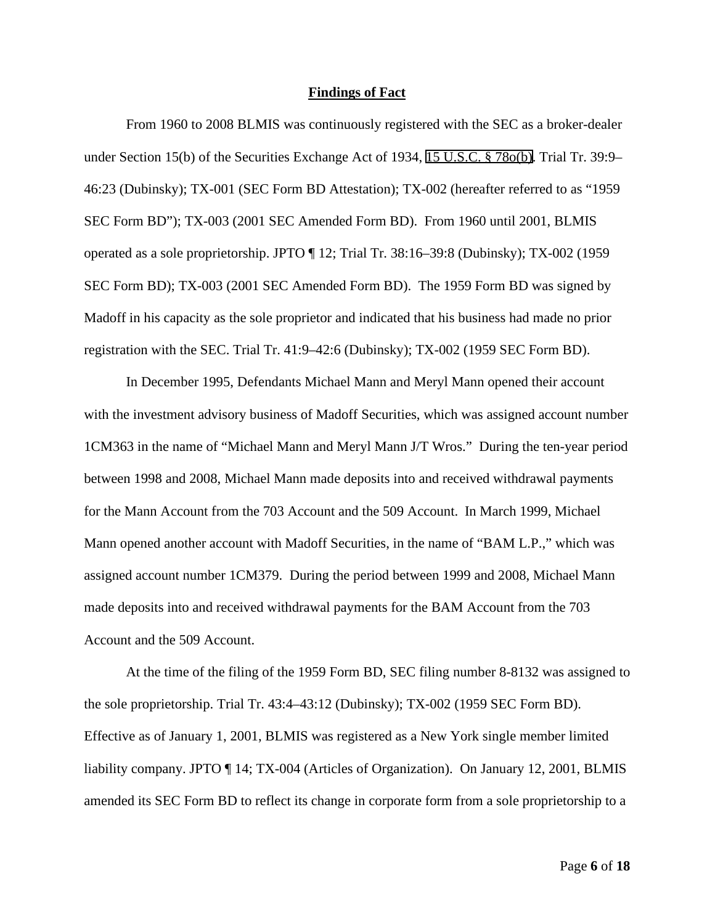#### **Findings of Fact**

From 1960 to 2008 BLMIS was continuously registered with the SEC as a broker-dealer under Section 15(b) of the Securities Exchange Act of 1934, 15 U.S.C. § 78o(b). Trial Tr. 39:9– 46:23 (Dubinsky); TX-001 (SEC Form BD Attestation); TX-002 (hereafter referred to as "1959 SEC Form BD"); TX-003 (2001 SEC Amended Form BD). From 1960 until 2001, BLMIS operated as a sole proprietorship. JPTO ¶ 12; Trial Tr. 38:16–39:8 (Dubinsky); TX-002 (1959 SEC Form BD); TX-003 (2001 SEC Amended Form BD). The 1959 Form BD was signed by Madoff in his capacity as the sole proprietor and indicated that his business had made no prior registration with the SEC. Trial Tr. 41:9–42:6 (Dubinsky); TX-002 (1959 SEC Form BD).

In December 1995, Defendants Michael Mann and Meryl Mann opened their account with the investment advisory business of Madoff Securities, which was assigned account number 1CM363 in the name of "Michael Mann and Meryl Mann J/T Wros." During the ten-year period between 1998 and 2008, Michael Mann made deposits into and received withdrawal payments for the Mann Account from the 703 Account and the 509 Account. In March 1999, Michael Mann opened another account with Madoff Securities, in the name of "BAM L.P.," which was assigned account number 1CM379. During the period between 1999 and 2008, Michael Mann made deposits into and received withdrawal payments for the BAM Account from the 703 Account and the 509 Account.

At the time of the filing of the 1959 Form BD, SEC filing number 8-8132 was assigned to the sole proprietorship. Trial Tr. 43:4–43:12 (Dubinsky); TX-002 (1959 SEC Form BD). Effective as of January 1, 2001, BLMIS was registered as a New York single member limited liability company. JPTO ¶ 14; TX-004 (Articles of Organization). On January 12, 2001, BLMIS amended its SEC Form BD to reflect its change in corporate form from a sole proprietorship to a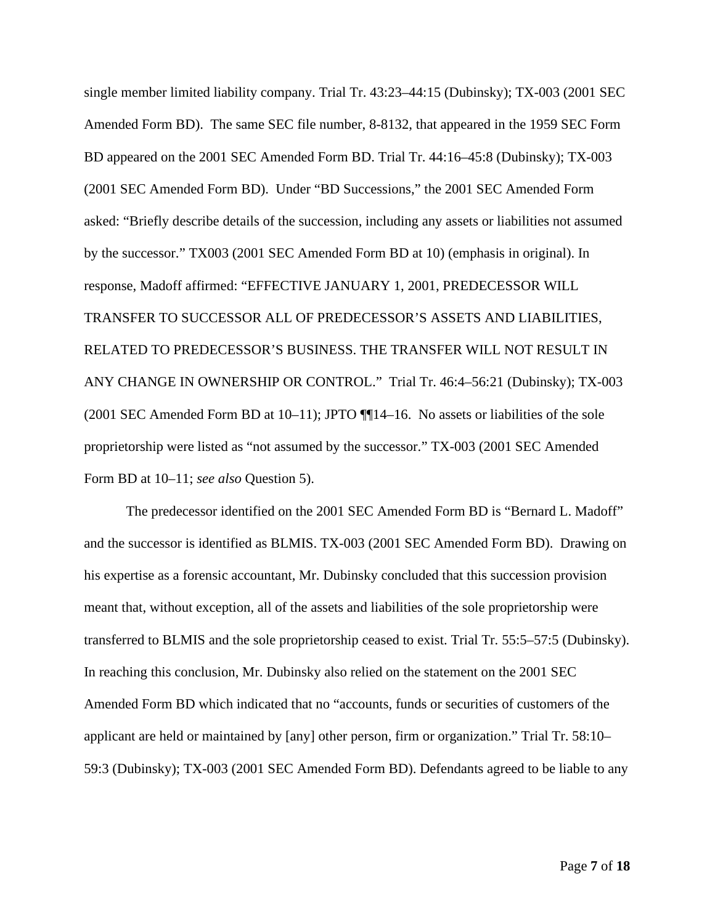single member limited liability company. Trial Tr. 43:23–44:15 (Dubinsky); TX-003 (2001 SEC Amended Form BD). The same SEC file number, 8-8132, that appeared in the 1959 SEC Form BD appeared on the 2001 SEC Amended Form BD. Trial Tr. 44:16–45:8 (Dubinsky); TX-003 (2001 SEC Amended Form BD). Under "BD Successions," the 2001 SEC Amended Form asked: "Briefly describe details of the succession, including any assets or liabilities not assumed by the successor." TX003 (2001 SEC Amended Form BD at 10) (emphasis in original). In response, Madoff affirmed: "EFFECTIVE JANUARY 1, 2001, PREDECESSOR WILL TRANSFER TO SUCCESSOR ALL OF PREDECESSOR'S ASSETS AND LIABILITIES, RELATED TO PREDECESSOR'S BUSINESS. THE TRANSFER WILL NOT RESULT IN ANY CHANGE IN OWNERSHIP OR CONTROL." Trial Tr. 46:4–56:21 (Dubinsky); TX-003 (2001 SEC Amended Form BD at 10–11); JPTO ¶¶14–16. No assets or liabilities of the sole proprietorship were listed as "not assumed by the successor." TX-003 (2001 SEC Amended Form BD at 10–11; *see also* Question 5).

The predecessor identified on the 2001 SEC Amended Form BD is "Bernard L. Madoff" and the successor is identified as BLMIS. TX-003 (2001 SEC Amended Form BD). Drawing on his expertise as a forensic accountant, Mr. Dubinsky concluded that this succession provision meant that, without exception, all of the assets and liabilities of the sole proprietorship were transferred to BLMIS and the sole proprietorship ceased to exist. Trial Tr. 55:5–57:5 (Dubinsky). In reaching this conclusion, Mr. Dubinsky also relied on the statement on the 2001 SEC Amended Form BD which indicated that no "accounts, funds or securities of customers of the applicant are held or maintained by [any] other person, firm or organization." Trial Tr. 58:10– 59:3 (Dubinsky); TX-003 (2001 SEC Amended Form BD). Defendants agreed to be liable to any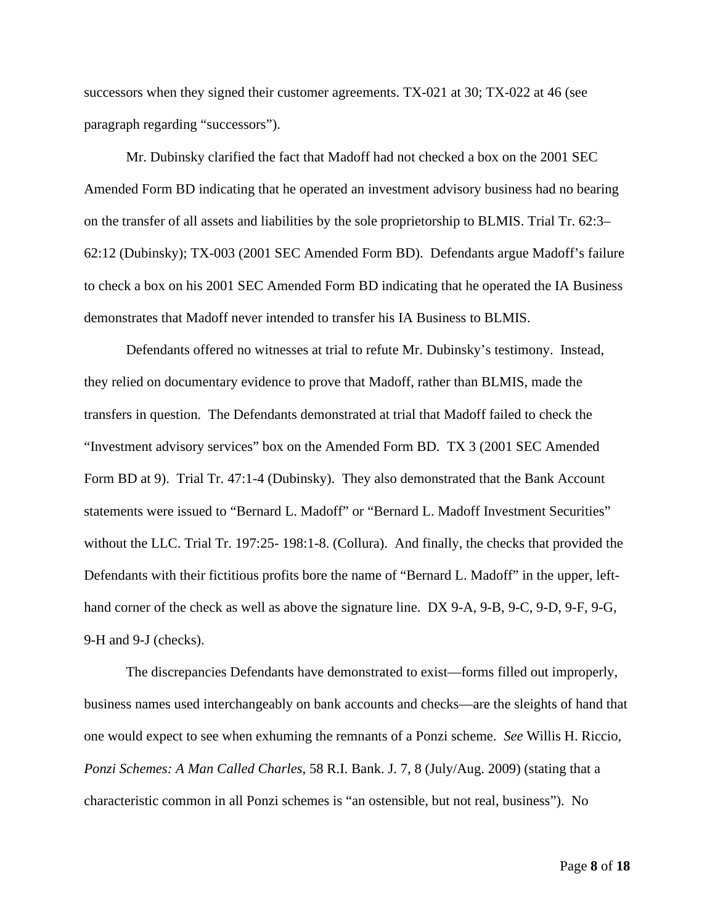successors when they signed their customer agreements. TX-021 at 30; TX-022 at 46 (see paragraph regarding "successors").

Mr. Dubinsky clarified the fact that Madoff had not checked a box on the 2001 SEC Amended Form BD indicating that he operated an investment advisory business had no bearing on the transfer of all assets and liabilities by the sole proprietorship to BLMIS. Trial Tr. 62:3– 62:12 (Dubinsky); TX-003 (2001 SEC Amended Form BD). Defendants argue Madoff's failure to check a box on his 2001 SEC Amended Form BD indicating that he operated the IA Business demonstrates that Madoff never intended to transfer his IA Business to BLMIS.

Defendants offered no witnesses at trial to refute Mr. Dubinsky's testimony. Instead, they relied on documentary evidence to prove that Madoff, rather than BLMIS, made the transfers in question. The Defendants demonstrated at trial that Madoff failed to check the "Investment advisory services" box on the Amended Form BD. TX 3 (2001 SEC Amended Form BD at 9). Trial Tr. 47:1-4 (Dubinsky). They also demonstrated that the Bank Account statements were issued to "Bernard L. Madoff" or "Bernard L. Madoff Investment Securities" without the LLC. Trial Tr. 197:25- 198:1-8. (Collura). And finally, the checks that provided the Defendants with their fictitious profits bore the name of "Bernard L. Madoff" in the upper, lefthand corner of the check as well as above the signature line. DX 9-A, 9-B, 9-C, 9-D, 9-F, 9-G, 9-H and 9-J (checks).

The discrepancies Defendants have demonstrated to exist—forms filled out improperly, business names used interchangeably on bank accounts and checks—are the sleights of hand that one would expect to see when exhuming the remnants of a Ponzi scheme. *See* Willis H. Riccio, *Ponzi Schemes: A Man Called Charles*, 58 R.I. Bank. J. 7, 8 (July/Aug. 2009) (stating that a characteristic common in all Ponzi schemes is "an ostensible, but not real, business"). No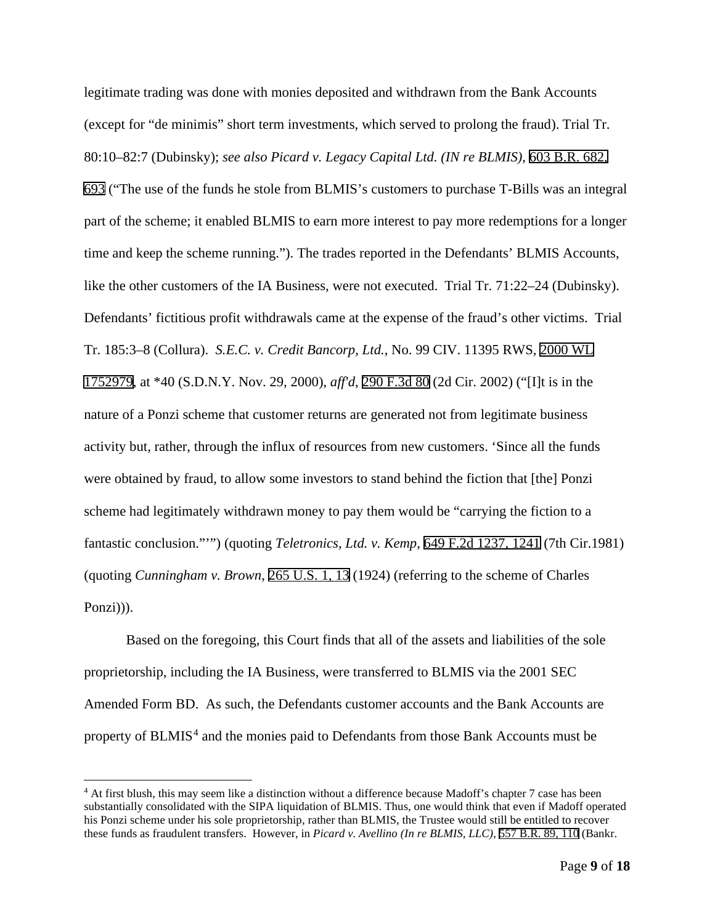legitimate trading was done with monies deposited and withdrawn from the Bank Accounts (except for "de minimis" short term investments, which served to prolong the fraud). Trial Tr. 80:10–82:7 (Dubinsky); *see also Picard v. Legacy Capital Ltd. (IN re BLMIS)*, 603 B.R. 682, 693 ("The use of the funds he stole from BLMIS's customers to purchase T-Bills was an integral part of the scheme; it enabled BLMIS to earn more interest to pay more redemptions for a longer time and keep the scheme running."). The trades reported in the Defendants' BLMIS Accounts, like the other customers of the IA Business, were not executed. Trial Tr. 71:22–24 (Dubinsky). Defendants' fictitious profit withdrawals came at the expense of the fraud's other victims. Trial Tr. 185:3–8 (Collura). *S.E.C. v. Credit Bancorp, Ltd.*, No. 99 CIV. 11395 RWS, 2000 WL 1752979, at \*40 (S.D.N.Y. Nov. 29, 2000), *aff'd*, 290 F.3d 80 (2d Cir. 2002) ("[I]t is in the nature of a Ponzi scheme that customer returns are generated not from legitimate business activity but, rather, through the influx of resources from new customers. 'Since all the funds were obtained by fraud, to allow some investors to stand behind the fiction that [the] Ponzi scheme had legitimately withdrawn money to pay them would be "carrying the fiction to a fantastic conclusion."'") (quoting *Teletronics, Ltd. v. Kemp*, 649 F.2d 1237, 1241 (7th Cir.1981) (quoting *Cunningham v. Brown*, 265 U.S. 1, 13 (1924) (referring to the scheme of Charles Ponzi))).

Based on the foregoing, this Court finds that all of the assets and liabilities of the sole proprietorship, including the IA Business, were transferred to BLMIS via the 2001 SEC Amended Form BD. As such, the Defendants customer accounts and the Bank Accounts are property of BLMIS<sup>[4](#page-8-0)</sup> and the monies paid to Defendants from those Bank Accounts must be

<span id="page-8-0"></span><sup>&</sup>lt;sup>4</sup> At first blush, this may seem like a distinction without a difference because Madoff's chapter 7 case has been substantially consolidated with the SIPA liquidation of BLMIS. Thus, one would think that even if Madoff operated his Ponzi scheme under his sole proprietorship, rather than BLMIS, the Trustee would still be entitled to recover these funds as fraudulent transfers. However, in *Picard v. Avellino (In re BLMIS, LLC)*, 557 B.R. 89, 110 (Bankr.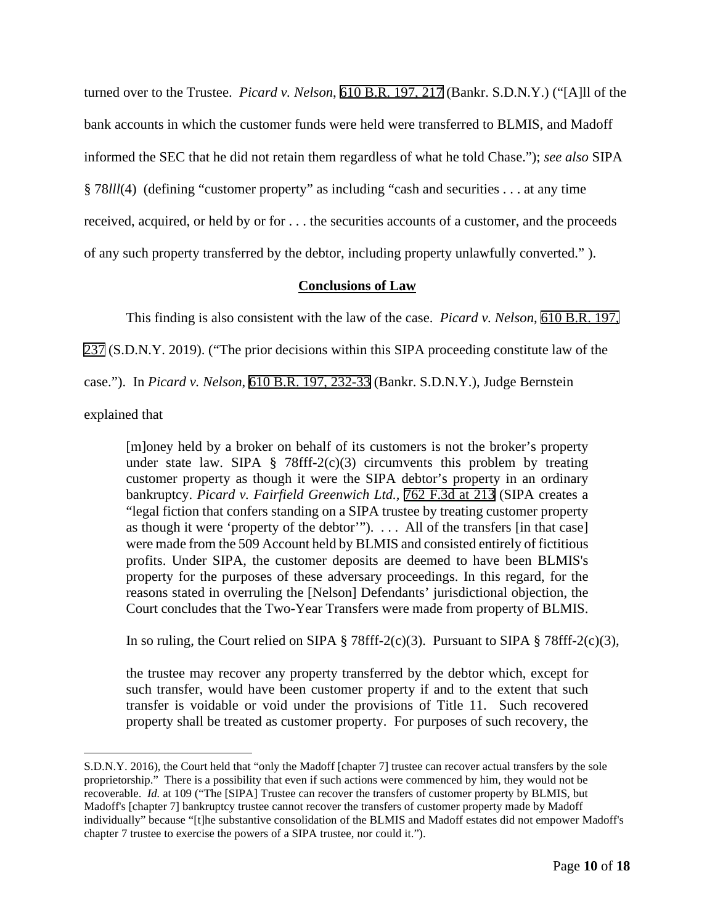turned over to the Trustee. *Picard v. Nelson*, 610 B.R. 197, 217 (Bankr. S.D.N.Y.) ("[A]ll of the bank accounts in which the customer funds were held were transferred to BLMIS, and Madoff informed the SEC that he did not retain them regardless of what he told Chase."); *see also* SIPA § 78*lll*(4) (defining "customer property" as including "cash and securities . . . at any time received, acquired, or held by or for . . . the securities accounts of a customer, and the proceeds of any such property transferred by the debtor, including property unlawfully converted." ).

# **Conclusions of Law**

This finding is also consistent with the law of the case. *Picard v. Nelson*, 610 B.R. 197,

237 (S.D.N.Y. 2019). ("The prior decisions within this SIPA proceeding constitute law of the

case."). In *Picard v. Nelson*, 610 B.R. 197, 232-33 (Bankr. S.D.N.Y.), Judge Bernstein

explained that

[m]oney held by a broker on behalf of its customers is not the broker's property under state law. SIPA § 78fff-2(c)(3) circumvents this problem by treating customer property as though it were the SIPA debtor's property in an ordinary bankruptcy. *Picard v. Fairfield Greenwich Ltd.,* 762 F.3d at 213 (SIPA creates a "legal fiction that confers standing on a SIPA trustee by treating customer property as though it were 'property of the debtor'"). . . . All of the transfers [in that case] were made from the 509 Account held by BLMIS and consisted entirely of fictitious profits. Under SIPA, the customer deposits are deemed to have been BLMIS's property for the purposes of these adversary proceedings. In this regard, for the reasons stated in overruling the [Nelson] Defendants' jurisdictional objection, the Court concludes that the Two-Year Transfers were made from property of BLMIS.

In so ruling, the Court relied on SIPA  $\S$  78fff-2(c)(3). Pursuant to SIPA  $\S$  78fff-2(c)(3),

the trustee may recover any property transferred by the debtor which, except for such transfer, would have been customer property if and to the extent that such transfer is voidable or void under the provisions of Title 11. Such recovered property shall be treated as customer property. For purposes of such recovery, the

S.D.N.Y. 2016), the Court held that "only the Madoff [chapter 7] trustee can recover actual transfers by the sole proprietorship." There is a possibility that even if such actions were commenced by him, they would not be recoverable. *Id.* at 109 ("The [SIPA] Trustee can recover the transfers of customer property by BLMIS, but Madoff's [chapter 7] bankruptcy trustee cannot recover the transfers of customer property made by Madoff individually" because "[t]he substantive consolidation of the BLMIS and Madoff estates did not empower Madoff's chapter 7 trustee to exercise the powers of a SIPA trustee, nor could it.").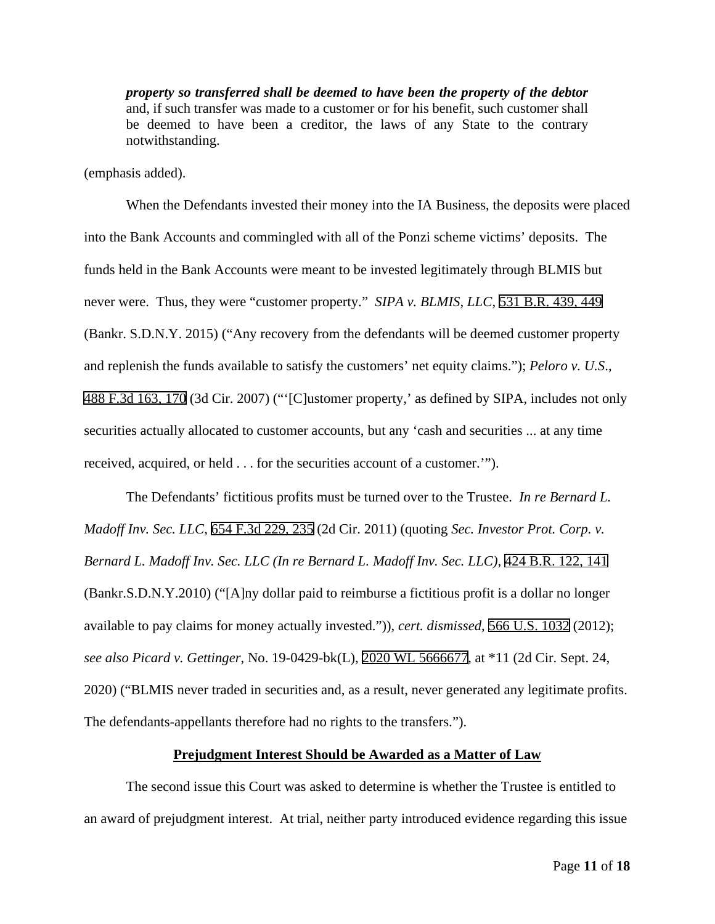*property so transferred shall be deemed to have been the property of the debtor* and, if such transfer was made to a customer or for his benefit, such customer shall be deemed to have been a creditor, the laws of any State to the contrary notwithstanding.

(emphasis added).

When the Defendants invested their money into the IA Business, the deposits were placed into the Bank Accounts and commingled with all of the Ponzi scheme victims' deposits. The funds held in the Bank Accounts were meant to be invested legitimately through BLMIS but never were. Thus, they were "customer property." *SIPA v. BLMIS, LLC*, 531 B.R. 439, 449 (Bankr. S.D.N.Y. 2015) ("Any recovery from the defendants will be deemed customer property and replenish the funds available to satisfy the customers' net equity claims."); *Peloro v. U.S*., 488 F.3d 163, 170 (3d Cir. 2007) ("'[C]ustomer property,' as defined by SIPA, includes not only securities actually allocated to customer accounts, but any 'cash and securities ... at any time received, acquired, or held . . . for the securities account of a customer.'").

The Defendants' fictitious profits must be turned over to the Trustee. *In re Bernard L. Madoff Inv. Sec. LLC*, 654 F.3d 229, 235 (2d Cir. 2011) (quoting *Sec. Investor Prot. Corp. v. Bernard L. Madoff Inv. Sec. LLC (In re Bernard L. Madoff Inv. Sec. LLC)*, 424 B.R. 122, 141 (Bankr.S.D.N.Y.2010) ("[A]ny dollar paid to reimburse a fictitious profit is a dollar no longer available to pay claims for money actually invested.")), *cert. dismissed*, 566 U.S. 1032 (2012); *see also Picard v. Gettinger*, No. 19-0429-bk(L), 2020 WL 5666677, at \*11 (2d Cir. Sept. 24, 2020) ("BLMIS never traded in securities and, as a result, never generated any legitimate profits. The defendants-appellants therefore had no rights to the transfers.").

### **Prejudgment Interest Should be Awarded as a Matter of Law**

The second issue this Court was asked to determine is whether the Trustee is entitled to an award of prejudgment interest. At trial, neither party introduced evidence regarding this issue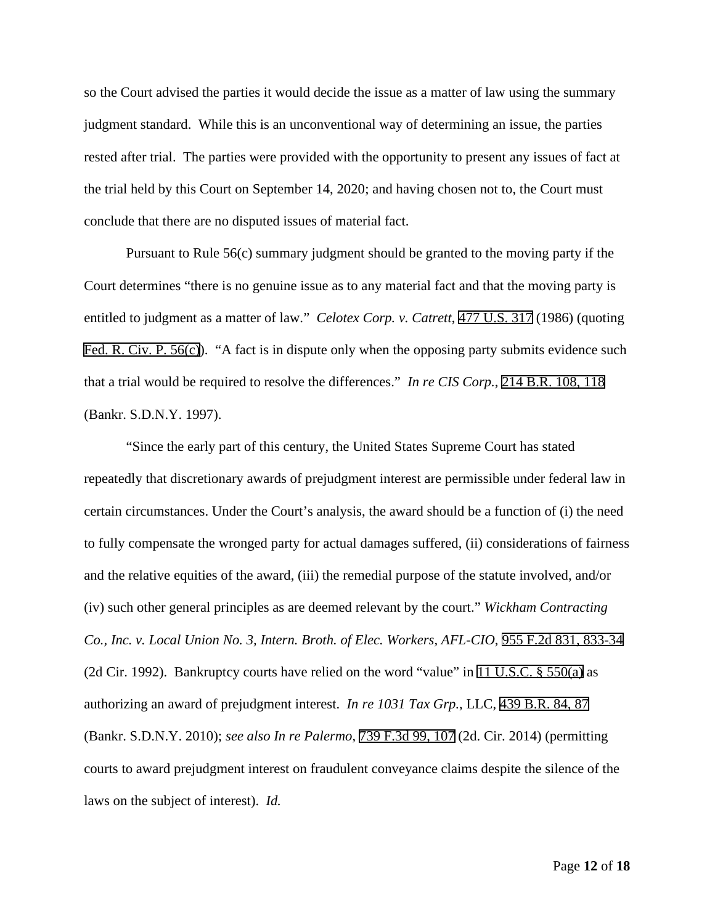so the Court advised the parties it would decide the issue as a matter of law using the summary judgment standard. While this is an unconventional way of determining an issue, the parties rested after trial. The parties were provided with the opportunity to present any issues of fact at the trial held by this Court on September 14, 2020; and having chosen not to, the Court must conclude that there are no disputed issues of material fact.

Pursuant to Rule 56(c) summary judgment should be granted to the moving party if the Court determines "there is no genuine issue as to any material fact and that the moving party is entitled to judgment as a matter of law." *Celotex Corp. v. Catrett*, 477 U.S. 317 (1986) (quoting Fed. R. Civ. P. 56(c)). "A fact is in dispute only when the opposing party submits evidence such that a trial would be required to resolve the differences." *In re CIS Corp.*, 214 B.R. 108, 118 (Bankr. S.D.N.Y. 1997).

"Since the early part of this century, the United States Supreme Court has stated repeatedly that discretionary awards of prejudgment interest are permissible under federal law in certain circumstances. Under the Court's analysis, the award should be a function of (i) the need to fully compensate the wronged party for actual damages suffered, (ii) considerations of fairness and the relative equities of the award, (iii) the remedial purpose of the statute involved, and/or (iv) such other general principles as are deemed relevant by the court." *Wickham Contracting Co., Inc. v. Local Union No. 3, Intern. Broth. of Elec. Workers, AFL-CIO*, 955 F.2d 831, 833-34 (2d Cir. 1992). Bankruptcy courts have relied on the word "value" in 11 U.S.C. § 550(a) as authorizing an award of prejudgment interest. *In re 1031 Tax Grp.*, LLC, 439 B.R. 84, 87 (Bankr. S.D.N.Y. 2010); *see also In re Palermo*, 739 F.3d 99, 107 (2d. Cir. 2014) (permitting courts to award prejudgment interest on fraudulent conveyance claims despite the silence of the laws on the subject of interest). *Id.*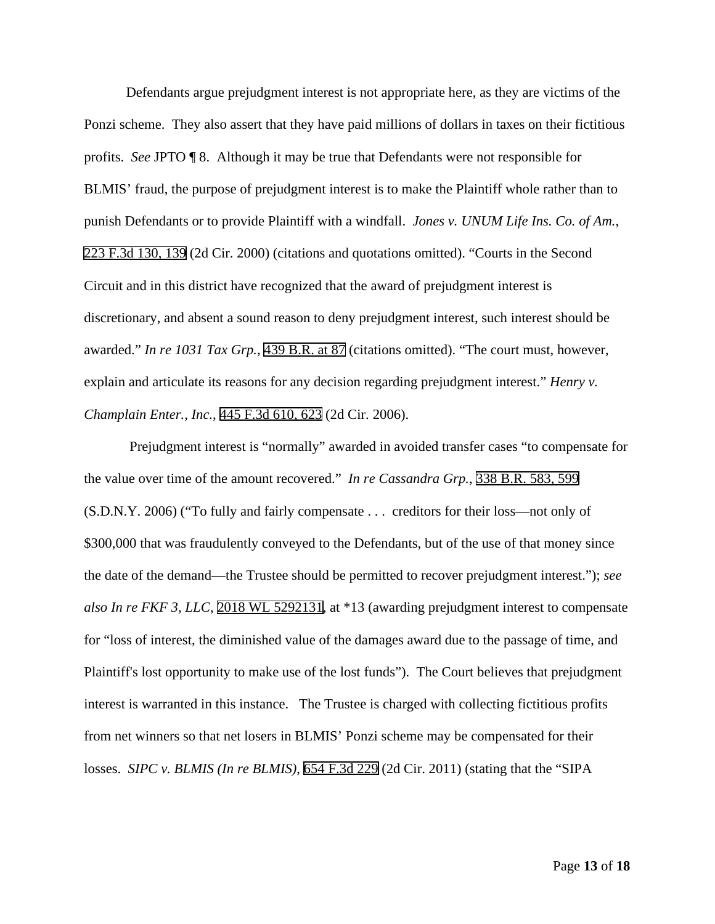Defendants argue prejudgment interest is not appropriate here, as they are victims of the Ponzi scheme. They also assert that they have paid millions of dollars in taxes on their fictitious profits. *See* JPTO ¶ 8. Although it may be true that Defendants were not responsible for BLMIS' fraud, the purpose of prejudgment interest is to make the Plaintiff whole rather than to punish Defendants or to provide Plaintiff with a windfall. *Jones v. UNUM Life Ins. Co. of Am.*, 223 F.3d 130, 139 (2d Cir. 2000) (citations and quotations omitted). "Courts in the Second Circuit and in this district have recognized that the award of prejudgment interest is discretionary, and absent a sound reason to deny prejudgment interest, such interest should be awarded." *In re 1031 Tax Grp.*, 439 B.R. at 87 (citations omitted). "The court must, however, explain and articulate its reasons for any decision regarding prejudgment interest." *Henry v. Champlain Enter., Inc.*, 445 F.3d 610, 623 (2d Cir. 2006).

Prejudgment interest is "normally" awarded in avoided transfer cases "to compensate for the value over time of the amount recovered." *In re Cassandra Grp.*, 338 B.R. 583, 599 (S.D.N.Y. 2006) ("To fully and fairly compensate . . . creditors for their loss—not only of \$300,000 that was fraudulently conveyed to the Defendants, but of the use of that money since the date of the demand—the Trustee should be permitted to recover prejudgment interest."); *see also In re FKF 3, LLC*, 2018 WL 5292131, at \*13 (awarding prejudgment interest to compensate for "loss of interest, the diminished value of the damages award due to the passage of time, and Plaintiff's lost opportunity to make use of the lost funds"). The Court believes that prejudgment interest is warranted in this instance. The Trustee is charged with collecting fictitious profits from net winners so that net losers in BLMIS' Ponzi scheme may be compensated for their losses. *SIPC v. BLMIS (In re BLMIS)*, 654 F.3d 229 (2d Cir. 2011) (stating that the "SIPA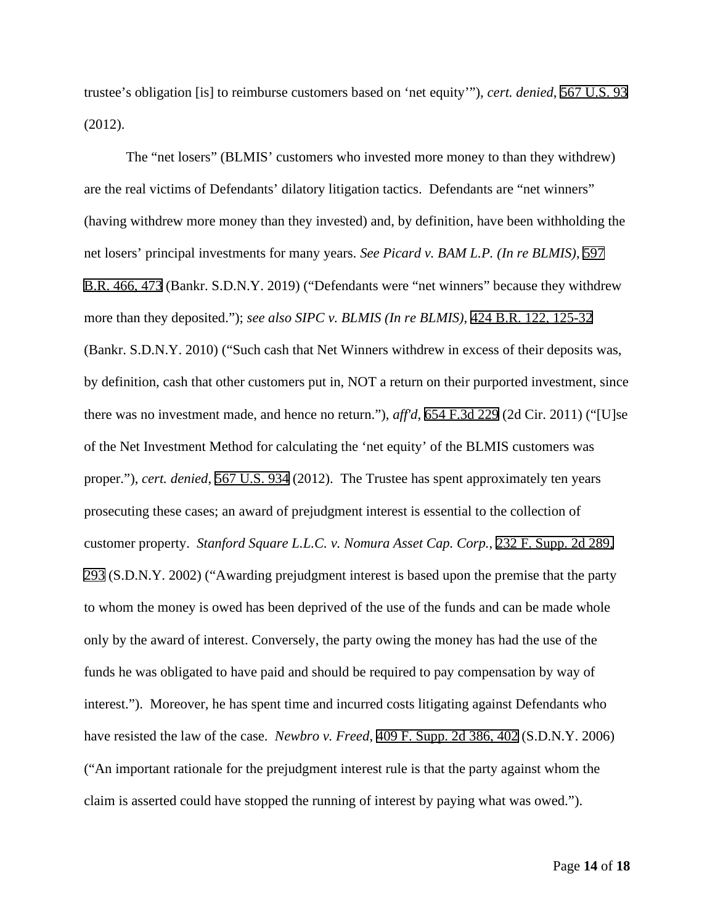trustee's obligation [is] to reimburse customers based on 'net equity'"), *cert. denied*, 567 U.S. 93 (2012).

The "net losers" (BLMIS' customers who invested more money to than they withdrew) are the real victims of Defendants' dilatory litigation tactics. Defendants are "net winners" (having withdrew more money than they invested) and, by definition, have been withholding the net losers' principal investments for many years. *See Picard v. BAM L.P. (In re BLMIS)*, 597 B.R. 466, 473 (Bankr. S.D.N.Y. 2019) ("Defendants were "net winners" because they withdrew more than they deposited."); *see also SIPC v. BLMIS (In re BLMIS)*, 424 B.R. 122, 125-32 (Bankr. S.D.N.Y. 2010) ("Such cash that Net Winners withdrew in excess of their deposits was, by definition, cash that other customers put in, NOT a return on their purported investment, since there was no investment made, and hence no return."), *aff'd*, 654 F.3d 229 (2d Cir. 2011) ("[U]se of the Net Investment Method for calculating the 'net equity' of the BLMIS customers was proper."), *cert. denied*, 567 U.S. 934 (2012). The Trustee has spent approximately ten years prosecuting these cases; an award of prejudgment interest is essential to the collection of customer property. *Stanford Square L.L.C. v. Nomura Asset Cap. Corp.*, 232 F. Supp. 2d 289, 293 (S.D.N.Y. 2002) ("Awarding prejudgment interest is based upon the premise that the party to whom the money is owed has been deprived of the use of the funds and can be made whole only by the award of interest. Conversely, the party owing the money has had the use of the funds he was obligated to have paid and should be required to pay compensation by way of interest."). Moreover, he has spent time and incurred costs litigating against Defendants who have resisted the law of the case. *Newbro v. Freed*, 409 F. Supp. 2d 386, 402 (S.D.N.Y. 2006) ("An important rationale for the prejudgment interest rule is that the party against whom the claim is asserted could have stopped the running of interest by paying what was owed.").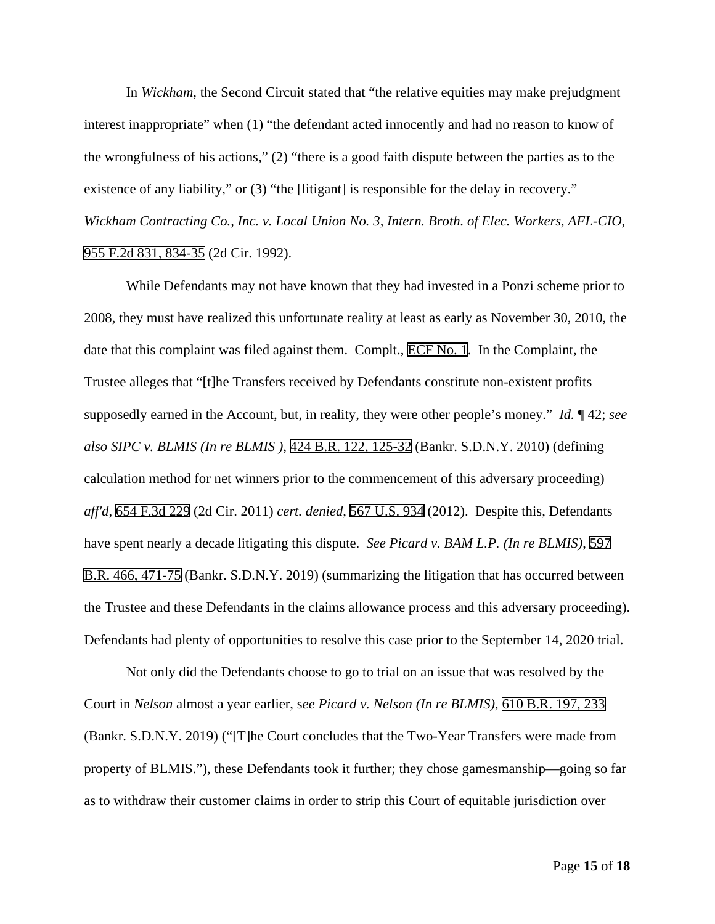In *Wickham*, the Second Circuit stated that "the relative equities may make prejudgment interest inappropriate" when (1) "the defendant acted innocently and had no reason to know of the wrongfulness of his actions," (2) "there is a good faith dispute between the parties as to the existence of any liability," or (3) "the [litigant] is responsible for the delay in recovery." *Wickham Contracting Co., Inc. v. Local Union No. 3, Intern. Broth. of Elec. Workers, AFL-CIO*, 955 F.2d 831, 834-35 (2d Cir. 1992).

While Defendants may not have known that they had invested in a Ponzi scheme prior to 2008, they must have realized this unfortunate reality at least as early as November 30, 2010, the date that this complaint was filed against them. Complt., ECF No. 1. In the Complaint, the Trustee alleges that "[t]he Transfers received by Defendants constitute non-existent profits supposedly earned in the Account, but, in reality, they were other people's money." *Id.* ¶ 42; *see also SIPC v. BLMIS (In re BLMIS )*, 424 B.R. 122, 125-32 (Bankr. S.D.N.Y. 2010) (defining calculation method for net winners prior to the commencement of this adversary proceeding) *aff'd*, 654 F.3d 229 (2d Cir. 2011) *cert. denied*, 567 U.S. 934 (2012). Despite this, Defendants have spent nearly a decade litigating this dispute. *See Picard v. BAM L.P. (In re BLMIS)*, 597 B.R. 466, 471-75 (Bankr. S.D.N.Y. 2019) (summarizing the litigation that has occurred between the Trustee and these Defendants in the claims allowance process and this adversary proceeding). Defendants had plenty of opportunities to resolve this case prior to the September 14, 2020 trial.

Not only did the Defendants choose to go to trial on an issue that was resolved by the Court in *Nelson* almost a year earlier, s*ee Picard v. Nelson (In re BLMIS)*, 610 B.R. 197, 233 (Bankr. S.D.N.Y. 2019) ("[T]he Court concludes that the Two-Year Transfers were made from property of BLMIS."), these Defendants took it further; they chose gamesmanship—going so far as to withdraw their customer claims in order to strip this Court of equitable jurisdiction over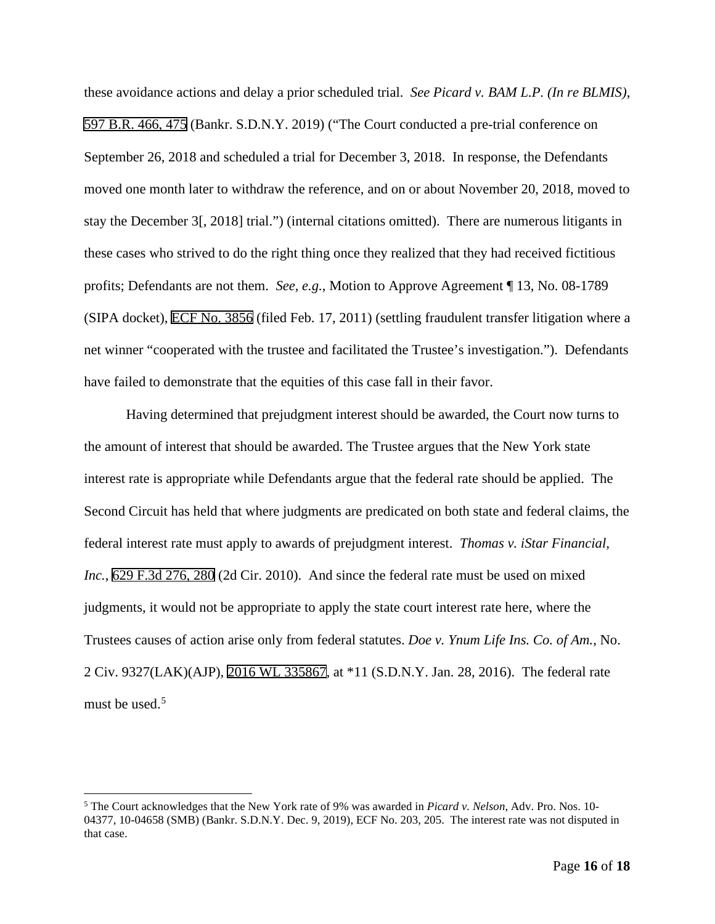these avoidance actions and delay a prior scheduled trial. *See Picard v. BAM L.P. (In re BLMIS)*, 597 B.R. 466, 475 (Bankr. S.D.N.Y. 2019) ("The Court conducted a pre-trial conference on September 26, 2018 and scheduled a trial for December 3, 2018. In response, the Defendants moved one month later to withdraw the reference, and on or about November 20, 2018, moved to stay the December 3[, 2018] trial.") (internal citations omitted). There are numerous litigants in these cases who strived to do the right thing once they realized that they had received fictitious profits; Defendants are not them. *See, e.g.*, Motion to Approve Agreement ¶ 13, No. 08-1789 (SIPA docket), ECF No. 3856 (filed Feb. 17, 2011) (settling fraudulent transfer litigation where a net winner "cooperated with the trustee and facilitated the Trustee's investigation."). Defendants have failed to demonstrate that the equities of this case fall in their favor.

Having determined that prejudgment interest should be awarded, the Court now turns to the amount of interest that should be awarded. The Trustee argues that the New York state interest rate is appropriate while Defendants argue that the federal rate should be applied. The Second Circuit has held that where judgments are predicated on both state and federal claims, the federal interest rate must apply to awards of prejudgment interest. *Thomas v. iStar Financial, Inc.*, 629 F.3d 276, 280 (2d Cir. 2010). And since the federal rate must be used on mixed judgments, it would not be appropriate to apply the state court interest rate here, where the Trustees causes of action arise only from federal statutes. *Doe v. Ynum Life Ins. Co. of Am.*, No. 2 Civ. 9327(LAK)(AJP), 2016 WL 335867, at \*11 (S.D.N.Y. Jan. 28, 2016). The federal rate must be used.<sup>[5](#page-15-0)</sup>

<span id="page-15-0"></span><sup>5</sup> The Court acknowledges that the New York rate of 9% was awarded in *Picard v. Nelson*, Adv. Pro. Nos. 10- 04377, 10-04658 (SMB) (Bankr. S.D.N.Y. Dec. 9, 2019), ECF No. 203, 205. The interest rate was not disputed in that case.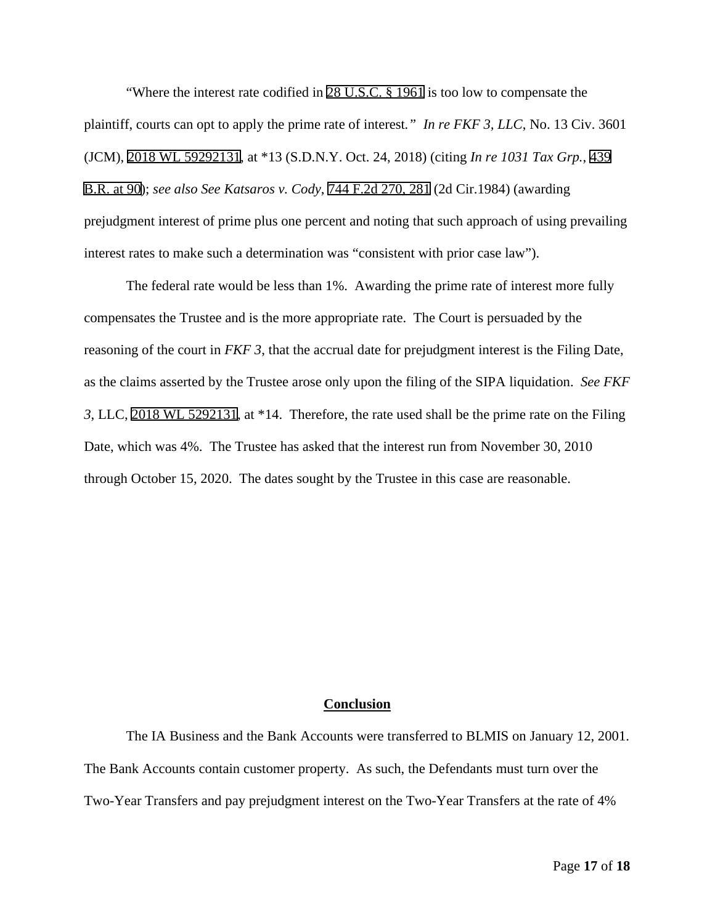"Where the interest rate codified in 28 U.S.C. § 1961 is too low to compensate the plaintiff, courts can opt to apply the prime rate of interest*." In re FKF 3, LLC*, No. 13 Civ. 3601 (JCM), 2018 WL 59292131, at \*13 (S.D.N.Y. Oct. 24, 2018) (citing *In re 1031 Tax Grp.*, 439 B.R. at 90); *see also See Katsaros v. Cody*, 744 F.2d 270, 281 (2d Cir.1984) (awarding prejudgment interest of prime plus one percent and noting that such approach of using prevailing interest rates to make such a determination was "consistent with prior case law").

The federal rate would be less than 1%. Awarding the prime rate of interest more fully compensates the Trustee and is the more appropriate rate. The Court is persuaded by the reasoning of the court in *FKF 3*, that the accrual date for prejudgment interest is the Filing Date, as the claims asserted by the Trustee arose only upon the filing of the SIPA liquidation. *See FKF 3*, LLC, 2018 WL 5292131, at \*14. Therefore, the rate used shall be the prime rate on the Filing Date, which was 4%. The Trustee has asked that the interest run from November 30, 2010 through October 15, 2020. The dates sought by the Trustee in this case are reasonable.

### **Conclusion**

The IA Business and the Bank Accounts were transferred to BLMIS on January 12, 2001. The Bank Accounts contain customer property. As such, the Defendants must turn over the Two-Year Transfers and pay prejudgment interest on the Two-Year Transfers at the rate of 4%